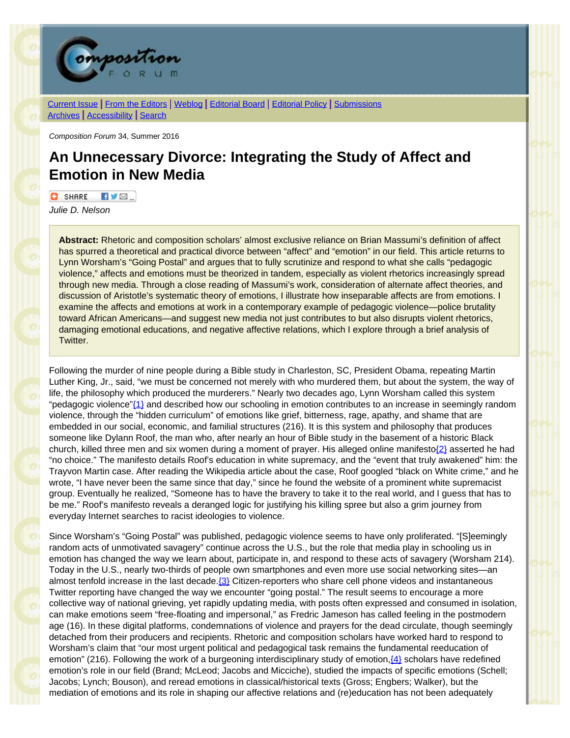

[Current Issue](http://compositionforum.com/issue/34/) | From the [Editors](http://compositionforum.com/issue/34/from-the-editors.php) | [Weblog](http://compositionforum.com/blog/) | [Editorial](http://compositionforum.com/editorial-policy.php) Board | Editorial Policy | [Submissions](http://compositionforum.com/submissions.php) [Archives](http://compositionforum.com/archives.php) | [Accessibility](http://compositionforum.com/accessibility.php) | [Search](http://compositionforum.com/search.php)

*Composition Forum* 34, Summer 2016

# **An Unnecessary Divorce: Integrating the Study of Affect and Emotion in New Media**

 $\Box$  SHARE  $\P$   $\P$   $\Box$ 

*Julie D. Nelson*

**Abstract:** Rhetoric and composition scholars' almost exclusive reliance on Brian Massumi's definition of affect has spurred a theoretical and practical divorce between "affect" and "emotion" in our field. This article returns to Lynn Worsham's "Going Postal" and argues that to fully scrutinize and respond to what she calls "pedagogic violence," affects and emotions must be theorized in tandem, especially as violent rhetorics increasingly spread through new media. Through a close reading of Massumi's work, consideration of alternate affect theories, and discussion of Aristotle's systematic theory of emotions, I illustrate how inseparable affects are from emotions. I examine the affects and emotions at work in a contemporary example of pedagogic violence—police brutality toward African Americans—and suggest new media not just contributes to but also disrupts violent rhetorics, damaging emotional educations, and negative affective relations, which I explore through a brief analysis of Twitter.

<span id="page-0-1"></span><span id="page-0-0"></span>Following the murder of nine people during a Bible study in Charleston, SC, President Obama, repeating Martin Luther King, Jr., said, "we must be concerned not merely with who murdered them, but about the system, the way of life, the philosophy which produced the murderers." Nearly two decades ago, Lynn Worsham called this system "pedagogic violence" $\{1\}$  and described how our schooling in emotion contributes to an increase in seemingly random violence, through the "hidden curriculum" of emotions like grief, bitterness, rage, apathy, and shame that are embedded in our social, economic, and familial structures (216). It is this system and philosophy that produces someone like Dylann Roof, the man who, after nearly an hour of Bible study in the basement of a historic Black church, killed three men and six women during a moment of prayer. His alleged online manifesto $\{2\}$  asserted he had "no choice." The manifesto details Roof's education in white supremacy, and the "event that truly awakened" him: the Trayvon Martin case. After reading the Wikipedia article about the case, Roof googled "black on White crime," and he wrote, "I have never been the same since that day," since he found the website of a prominent white supremacist group. Eventually he realized, "Someone has to have the bravery to take it to the real world, and I guess that has to be me." Roof's manifesto reveals a deranged logic for justifying his killing spree but also a grim journey from everyday Internet searches to racist ideologies to violence.

<span id="page-0-3"></span><span id="page-0-2"></span>Since Worsham's "Going Postal" was published, pedagogic violence seems to have only proliferated. "[S]eemingly random acts of unmotivated savagery" continue across the U.S., but the role that media play in schooling us in emotion has changed the way we learn about, participate in, and respond to these acts of savagery (Worsham 214). Today in the U.S., nearly two-thirds of people own smartphones and even more use social networking sites—an almost tenfold increase in the last decade.<sup>[3]</sup> Citizen-reporters who share cell phone videos and instantaneous Twitter reporting have changed the way we encounter "going postal." The result seems to encourage a more collective way of national grieving, yet rapidly updating media, with posts often expressed and consumed in isolation, can make emotions seem "free-floating and impersonal," as Fredric Jameson has called feeling in the postmodern age (16). In these digital platforms, condemnations of violence and prayers for the dead circulate, though seemingly detached from their producers and recipients. Rhetoric and composition scholars have worked hard to respond to Worsham's claim that "our most urgent political and pedagogical task remains the fundamental reeducation of emotion" (216). Following the work of a burgeoning interdisciplinary study of emotion, $\{4\}$  scholars have redefined emotion's role in our field (Brand; McLeod; Jacobs and Micciche), studied the impacts of specific emotions (Schell; Jacobs; Lynch; Bouson), and reread emotions in classical/historical texts (Gross; Engbers; Walker), but the mediation of emotions and its role in shaping our affective relations and (re)education has not been adequately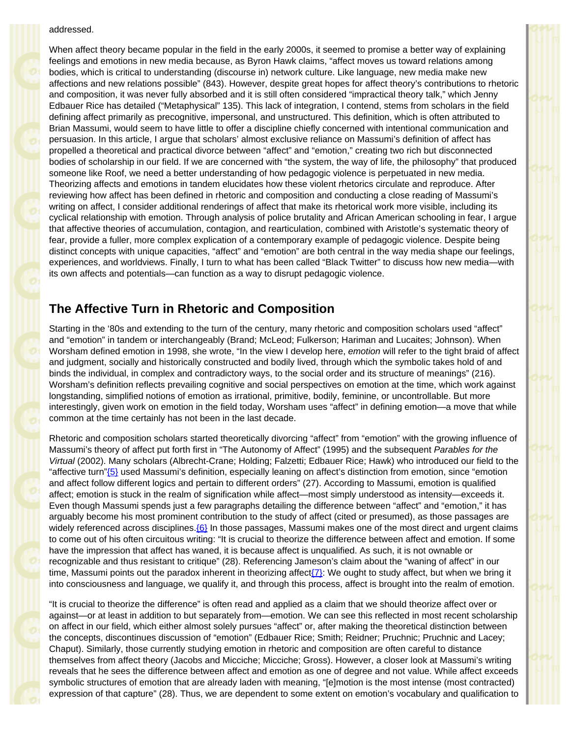#### addressed.

When affect theory became popular in the field in the early 2000s, it seemed to promise a better way of explaining feelings and emotions in new media because, as Byron Hawk claims, "affect moves us toward relations among bodies, which is critical to understanding (discourse in) network culture. Like language, new media make new affections and new relations possible" (843). However, despite great hopes for affect theory's contributions to rhetoric and composition, it was never fully absorbed and it is still often considered "impractical theory talk," which Jenny Edbauer Rice has detailed ("Metaphysical" 135). This lack of integration, I contend, stems from scholars in the field defining affect primarily as precognitive, impersonal, and unstructured. This definition, which is often attributed to Brian Massumi, would seem to have little to offer a discipline chiefly concerned with intentional communication and persuasion. In this article, I argue that scholars' almost exclusive reliance on Massumi's definition of affect has propelled a theoretical and practical divorce between "affect" and "emotion," creating two rich but disconnected bodies of scholarship in our field. If we are concerned with "the system, the way of life, the philosophy" that produced someone like Roof, we need a better understanding of how pedagogic violence is perpetuated in new media. Theorizing affects and emotions in tandem elucidates how these violent rhetorics circulate and reproduce. After reviewing how affect has been defined in rhetoric and composition and conducting a close reading of Massumi's writing on affect, I consider additional renderings of affect that make its rhetorical work more visible, including its cyclical relationship with emotion. Through analysis of police brutality and African American schooling in fear, I argue that affective theories of accumulation, contagion, and rearticulation, combined with Aristotle's systematic theory of fear, provide a fuller, more complex explication of a contemporary example of pedagogic violence. Despite being distinct concepts with unique capacities, "affect" and "emotion" are both central in the way media shape our feelings, experiences, and worldviews. Finally, I turn to what has been called "Black Twitter" to discuss how new media—with its own affects and potentials—can function as a way to disrupt pedagogic violence.

# **The Affective Turn in Rhetoric and Composition**

Starting in the '80s and extending to the turn of the century, many rhetoric and composition scholars used "affect" and "emotion" in tandem or interchangeably (Brand; McLeod; Fulkerson; Hariman and Lucaites; Johnson). When Worsham defined emotion in 1998, she wrote, "In the view I develop here, *emotion* will refer to the tight braid of affect and judgment, socially and historically constructed and bodily lived, through which the symbolic takes hold of and binds the individual, in complex and contradictory ways, to the social order and its structure of meanings" (216). Worsham's definition reflects prevailing cognitive and social perspectives on emotion at the time, which work against longstanding, simplified notions of emotion as irrational, primitive, bodily, feminine, or uncontrollable. But more interestingly, given work on emotion in the field today, Worsham uses "affect" in defining emotion—a move that while common at the time certainly has not been in the last decade.

<span id="page-1-0"></span>Rhetoric and composition scholars started theoretically divorcing "affect" from "emotion" with the growing influence of Massumi's theory of affect put forth first in "The Autonomy of Affect" (1995) and the subsequent *Parables for the Virtual* (2002). Many scholars (Albrecht-Crane; Holding; Falzetti; Edbauer Rice; Hawk) who introduced our field to the "affective turn["{5}](#page-10-0) used Massumi's definition, especially leaning on affect's distinction from emotion, since "emotion and affect follow different logics and pertain to different orders" (27). According to Massumi, emotion is qualified affect; emotion is stuck in the realm of signification while affect—most simply understood as intensity—exceeds it. Even though Massumi spends just a few paragraphs detailing the difference between "affect" and "emotion," it has arguably become his most prominent contribution to the study of affect (cited or presumed), as those passages are widely referenced across disciplines. ${6}$  In those passages, Massumi makes one of the most direct and urgent claims to come out of his often circuitous writing: "It is crucial to theorize the difference between affect and emotion. If some have the impression that affect has waned, it is because affect is unqualified. As such, it is not ownable or recognizable and thus resistant to critique" (28). Referencing Jameson's claim about the "waning of affect" in our time, Massumi points out the paradox inherent in theorizing affect $\{7\}$ : We ought to study affect, but when we bring it into consciousness and language, we qualify it, and through this process, affect is brought into the realm of emotion.

<span id="page-1-2"></span><span id="page-1-1"></span>"It is crucial to theorize the difference" is often read and applied as a claim that we should theorize affect over or against—or at least in addition to but separately from—emotion. We can see this reflected in most recent scholarship on affect in our field, which either almost solely pursues "affect" or, after making the theoretical distinction between the concepts, discontinues discussion of "emotion" (Edbauer Rice; Smith; Reidner; Pruchnic; Pruchnic and Lacey; Chaput). Similarly, those currently studying emotion in rhetoric and composition are often careful to distance themselves from affect theory (Jacobs and Micciche; Micciche; Gross). However, a closer look at Massumi's writing reveals that he sees the difference between affect and emotion as one of degree and not value. While affect exceeds symbolic structures of emotion that are already laden with meaning, "[e]motion is the most intense (most contracted) expression of that capture" (28). Thus, we are dependent to some extent on emotion's vocabulary and qualification to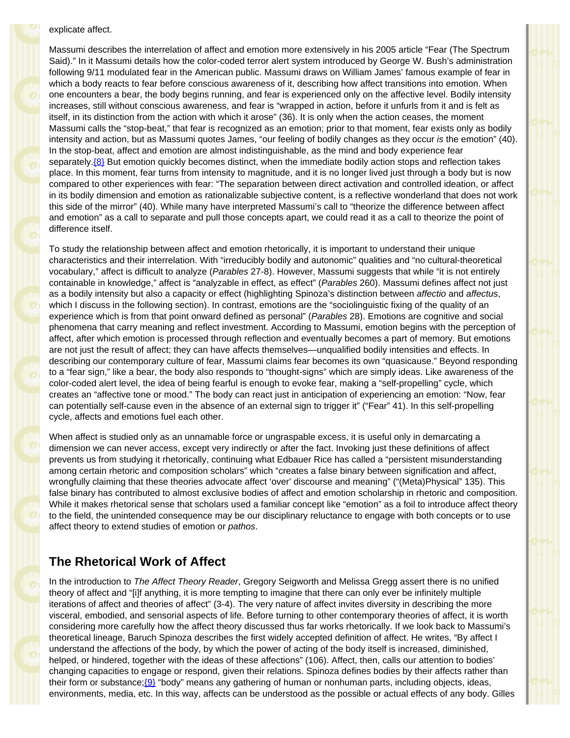explicate affect.

Massumi describes the interrelation of affect and emotion more extensively in his 2005 article "Fear (The Spectrum Said)." In it Massumi details how the color-coded terror alert system introduced by George W. Bush's administration following 9/11 modulated fear in the American public. Massumi draws on William James' famous example of fear in which a body reacts to fear before conscious awareness of it, describing how affect transitions into emotion. When one encounters a bear, the body begins running, and fear is experienced only on the affective level. Bodily intensity increases, still without conscious awareness, and fear is "wrapped in action, before it unfurls from it and is felt as itself, in its distinction from the action with which it arose" (36). It is only when the action ceases, the moment Massumi calls the "stop-beat," that fear is recognized as an emotion; prior to that moment, fear exists only as bodily intensity and action, but as Massumi quotes James, "our feeling of bodily changes as they occur *is* the emotion" (40). In the stop-beat, affect and emotion are almost indistinguishable, as the mind and body experience fear separately. ${8}$  But emotion quickly becomes distinct, when the immediate bodily action stops and reflection takes place. In this moment, fear turns from intensity to magnitude, and it is no longer lived just through a body but is now compared to other experiences with fear: "The separation between direct activation and controlled ideation, or affect in its bodily dimension and emotion as rationalizable subjective content, is a reflective wonderland that does not work this side of the mirror" (40). While many have interpreted Massumi's call to "theorize the difference between affect and emotion" as a call to separate and pull those concepts apart, we could read it as a call to theorize the point of difference itself.

<span id="page-2-0"></span>To study the relationship between affect and emotion rhetorically, it is important to understand their unique characteristics and their interrelation. With "irreducibly bodily and autonomic" qualities and "no cultural-theoretical vocabulary," affect is difficult to analyze (*Parables* 27-8). However, Massumi suggests that while "it is not entirely containable in knowledge," affect is "analyzable in effect, as effect" (*Parables* 260). Massumi defines affect not just as a bodily intensity but also a capacity or effect (highlighting Spinoza's distinction between *affectio* and *affectus*, which I discuss in the following section). In contrast, emotions are the "sociolinguistic fixing of the quality of an experience which is from that point onward defined as personal" (*Parables* 28). Emotions are cognitive and social phenomena that carry meaning and reflect investment. According to Massumi, emotion begins with the perception of affect, after which emotion is processed through reflection and eventually becomes a part of memory. But emotions are not just the result of affect; they can have affects themselves—unqualified bodily intensities and effects. In describing our contemporary culture of fear, Massumi claims fear becomes its own "quasicause." Beyond responding to a "fear sign," like a bear, the body also responds to "thought-signs" which are simply ideas. Like awareness of the color-coded alert level, the idea of being fearful is enough to evoke fear, making a "self-propelling" cycle, which creates an "affective tone or mood." The body can react just in anticipation of experiencing an emotion: "Now, fear can potentially self-cause even in the absence of an external sign to trigger it" ("Fear" 41). In this self-propelling cycle, affects and emotions fuel each other.

When affect is studied only as an unnamable force or ungraspable excess, it is useful only in demarcating a dimension we can never access, except very indirectly or after the fact. Invoking just these definitions of affect prevents us from studying it rhetorically, continuing what Edbauer Rice has called a "persistent misunderstanding among certain rhetoric and composition scholars" which "creates a false binary between signification and affect, wrongfully claiming that these theories advocate affect 'over' discourse and meaning" ("(Meta)Physical" 135). This false binary has contributed to almost exclusive bodies of affect and emotion scholarship in rhetoric and composition. While it makes rhetorical sense that scholars used a familiar concept like "emotion" as a foil to introduce affect theory to the field, the unintended consequence may be our disciplinary reluctance to engage with both concepts or to use affect theory to extend studies of emotion or *pathos*.

# **The Rhetorical Work of Affect**

<span id="page-2-1"></span>In the introduction to *The Affect Theory Reader*, Gregory Seigworth and Melissa Gregg assert there is no unified theory of affect and "[i]f anything, it is more tempting to imagine that there can only ever be infinitely multiple iterations of affect and theories of affect" (3-4). The very nature of affect invites diversity in describing the more visceral, embodied, and sensorial aspects of life. Before turning to other contemporary theories of affect, it is worth considering more carefully how the affect theory discussed thus far works rhetorically. If we look back to Massumi's theoretical lineage, Baruch Spinoza describes the first widely accepted definition of affect. He writes, "By affect I understand the affections of the body, by which the power of acting of the body itself is increased, diminished, helped, or hindered, together with the ideas of these affections" (106). Affect, then, calls our attention to bodies' changing capacities to engage or respond, given their relations. Spinoza defines bodies by their affects rather than their form or substance[;{9}](#page-10-0) "body" means any gathering of human or nonhuman parts, including objects, ideas, environments, media, etc. In this way, affects can be understood as the possible or actual effects of any body. Gilles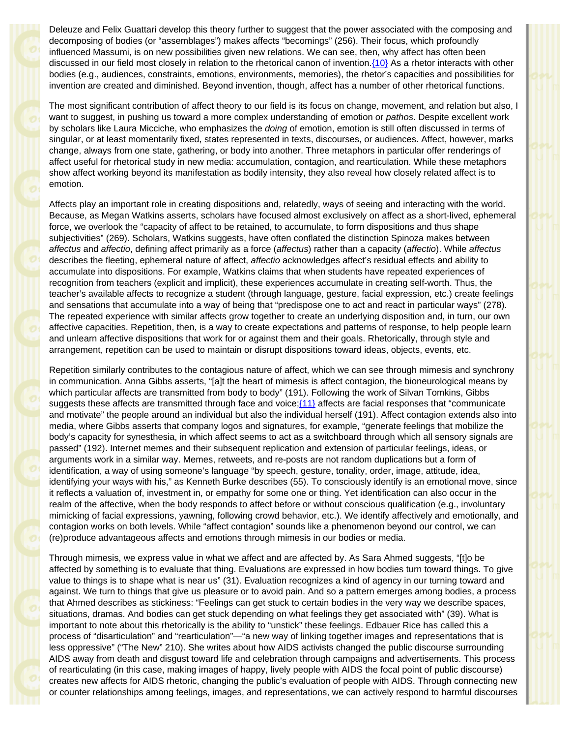<span id="page-3-0"></span>Deleuze and Felix Guattari develop this theory further to suggest that the power associated with the composing and decomposing of bodies (or "assemblages") makes affects "becomings" (256). Their focus, which profoundly influenced Massumi, is on new possibilities given new relations. We can see, then, why affect has often been discussed in our field most closely in relation to the rhetorical canon of invention. {10} As a rhetor interacts with other bodies (e.g., audiences, constraints, emotions, environments, memories), the rhetor's capacities and possibilities for invention are created and diminished. Beyond invention, though, affect has a number of other rhetorical functions.

The most significant contribution of affect theory to our field is its focus on change, movement, and relation but also, I want to suggest, in pushing us toward a more complex understanding of emotion or *pathos*. Despite excellent work by scholars like Laura Micciche, who emphasizes the *doing* of emotion, emotion is still often discussed in terms of singular, or at least momentarily fixed, states represented in texts, discourses, or audiences. Affect, however, marks change, always from one state, gathering, or body into another. Three metaphors in particular offer renderings of affect useful for rhetorical study in new media: accumulation, contagion, and rearticulation. While these metaphors show affect working beyond its manifestation as bodily intensity, they also reveal how closely related affect is to emotion.

Affects play an important role in creating dispositions and, relatedly, ways of seeing and interacting with the world. Because, as Megan Watkins asserts, scholars have focused almost exclusively on affect as a short-lived, ephemeral force, we overlook the "capacity of affect to be retained, to accumulate, to form dispositions and thus shape subjectivities" (269). Scholars, Watkins suggests, have often conflated the distinction Spinoza makes between *affectus* and *affectio*, defining affect primarily as a force (*affectus*) rather than a capacity (*affectio*). While *affectus* describes the fleeting, ephemeral nature of affect, *affectio* acknowledges affect's residual effects and ability to accumulate into dispositions. For example, Watkins claims that when students have repeated experiences of recognition from teachers (explicit and implicit), these experiences accumulate in creating self-worth. Thus, the teacher's available affects to recognize a student (through language, gesture, facial expression, etc.) create feelings and sensations that accumulate into a way of being that "predispose one to act and react in particular ways" (278). The repeated experience with similar affects grow together to create an underlying disposition and, in turn, our own affective capacities. Repetition, then, is a way to create expectations and patterns of response, to help people learn and unlearn affective dispositions that work for or against them and their goals. Rhetorically, through style and arrangement, repetition can be used to maintain or disrupt dispositions toward ideas, objects, events, etc.

<span id="page-3-1"></span>Repetition similarly contributes to the contagious nature of affect, which we can see through mimesis and synchrony in communication. Anna Gibbs asserts, "[a]t the heart of mimesis is affect contagion, the bioneurological means by which particular affects are transmitted from body to body" (191). Following the work of Silvan Tomkins, Gibbs suggests these affects are transmitted through face and voice; (11) affects are facial responses that "communicate and motivate" the people around an individual but also the individual herself (191). Affect contagion extends also into media, where Gibbs asserts that company logos and signatures, for example, "generate feelings that mobilize the body's capacity for synesthesia, in which affect seems to act as a switchboard through which all sensory signals are passed" (192). Internet memes and their subsequent replication and extension of particular feelings, ideas, or arguments work in a similar way. Memes, retweets, and re-posts are not random duplications but a form of identification, a way of using someone's language "by speech, gesture, tonality, order, image, attitude, idea, identifying your ways with his," as Kenneth Burke describes (55). To consciously identify is an emotional move, since it reflects a valuation of, investment in, or empathy for some one or thing. Yet identification can also occur in the realm of the affective, when the body responds to affect before or without conscious qualification (e.g., involuntary mimicking of facial expressions, yawning, following crowd behavior, etc.). We identify affectively and emotionally, and contagion works on both levels. While "affect contagion" sounds like a phenomenon beyond our control, we can (re)produce advantageous affects and emotions through mimesis in our bodies or media.

Through mimesis, we express value in what we affect and are affected by. As Sara Ahmed suggests, "[t]o be affected by something is to evaluate that thing. Evaluations are expressed in how bodies turn toward things. To give value to things is to shape what is near us" (31). Evaluation recognizes a kind of agency in our turning toward and against. We turn to things that give us pleasure or to avoid pain. And so a pattern emerges among bodies, a process that Ahmed describes as stickiness: "Feelings can get stuck to certain bodies in the very way we describe spaces, situations, dramas. And bodies can get stuck depending on what feelings they get associated with" (39). What is important to note about this rhetorically is the ability to "unstick" these feelings. Edbauer Rice has called this a process of "disarticulation" and "rearticulation"—"a new way of linking together images and representations that is less oppressive" ("The New" 210). She writes about how AIDS activists changed the public discourse surrounding AIDS away from death and disgust toward life and celebration through campaigns and advertisements. This process of rearticulating (in this case, making images of happy, lively people with AIDS the focal point of public discourse) creates new affects for AIDS rhetoric, changing the public's evaluation of people with AIDS. Through connecting new or counter relationships among feelings, images, and representations, we can actively respond to harmful discourses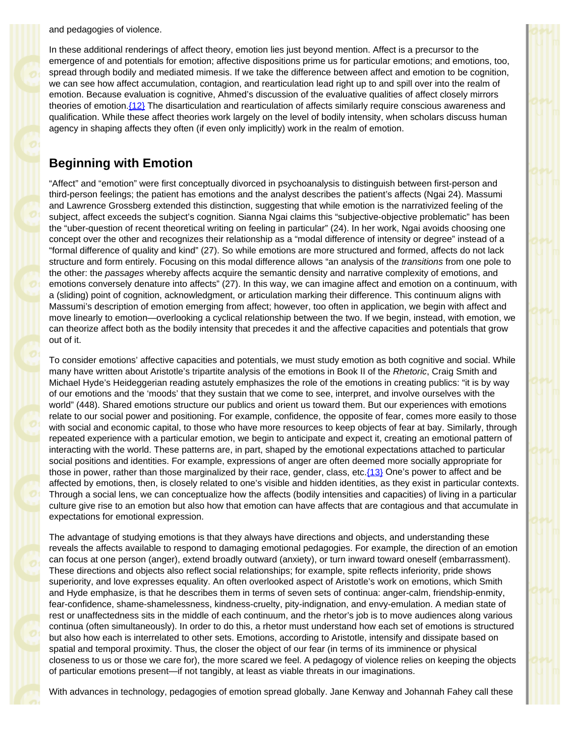and pedagogies of violence.

In these additional renderings of affect theory, emotion lies just beyond mention. Affect is a precursor to the emergence of and potentials for emotion; affective dispositions prime us for particular emotions; and emotions, too, spread through bodily and mediated mimesis. If we take the difference between affect and emotion to be cognition, we can see how affect accumulation, contagion, and rearticulation lead right up to and spill over into the realm of emotion. Because evaluation is cognitive, Ahmed's discussion of the evaluative qualities of affect closely mirrors theories of emotion[.{12}](#page-10-0) The disarticulation and rearticulation of affects similarly require conscious awareness and qualification. While these affect theories work largely on the level of bodily intensity, when scholars discuss human agency in shaping affects they often (if even only implicitly) work in the realm of emotion.

#### <span id="page-4-0"></span>**Beginning with Emotion**

"Affect" and "emotion" were first conceptually divorced in psychoanalysis to distinguish between first-person and third-person feelings; the patient has emotions and the analyst describes the patient's affects (Ngai 24). Massumi and Lawrence Grossberg extended this distinction, suggesting that while emotion is the narrativized feeling of the subject, affect exceeds the subject's cognition. Sianna Ngai claims this "subjective-objective problematic" has been the "uber-question of recent theoretical writing on feeling in particular" (24). In her work, Ngai avoids choosing one concept over the other and recognizes their relationship as a "modal difference of intensity or degree" instead of a "formal difference of quality and kind" (27). So while emotions are more structured and formed, affects do not lack structure and form entirely. Focusing on this modal difference allows "an analysis of the *transitions* from one pole to the other: the *passages* whereby affects acquire the semantic density and narrative complexity of emotions, and emotions conversely denature into affects" (27). In this way, we can imagine affect and emotion on a continuum, with a (sliding) point of cognition, acknowledgment, or articulation marking their difference. This continuum aligns with Massumi's description of emotion emerging from affect; however, too often in application, we begin with affect and move linearly to emotion—overlooking a cyclical relationship between the two. If we begin, instead, with emotion, we can theorize affect both as the bodily intensity that precedes it and the affective capacities and potentials that grow out of it.

To consider emotions' affective capacities and potentials, we must study emotion as both cognitive and social. While many have written about Aristotle's tripartite analysis of the emotions in Book II of the *Rhetoric*, Craig Smith and Michael Hyde's Heideggerian reading astutely emphasizes the role of the emotions in creating publics: "it is by way of our emotions and the 'moods' that they sustain that we come to see, interpret, and involve ourselves with the world" (448). Shared emotions structure our publics and orient us toward them. But our experiences with emotions relate to our social power and positioning. For example, confidence, the opposite of fear, comes more easily to those with social and economic capital, to those who have more resources to keep objects of fear at bay. Similarly, through repeated experience with a particular emotion, we begin to anticipate and expect it, creating an emotional pattern of interacting with the world. These patterns are, in part, shaped by the emotional expectations attached to particular social positions and identities. For example, expressions of anger are often deemed more socially appropriate for those in power, rather than those marginalized by their race, gender, class, etc[.{13}](#page-10-0) One's power to affect and be affected by emotions, then, is closely related to one's visible and hidden identities, as they exist in particular contexts. Through a social lens, we can conceptualize how the affects (bodily intensities and capacities) of living in a particular culture give rise to an emotion but also how that emotion can have affects that are contagious and that accumulate in expectations for emotional expression.

<span id="page-4-1"></span>The advantage of studying emotions is that they always have directions and objects, and understanding these reveals the affects available to respond to damaging emotional pedagogies. For example, the direction of an emotion can focus at one person (anger), extend broadly outward (anxiety), or turn inward toward oneself (embarrassment). These directions and objects also reflect social relationships; for example, spite reflects inferiority, pride shows superiority, and love expresses equality. An often overlooked aspect of Aristotle's work on emotions, which Smith and Hyde emphasize, is that he describes them in terms of seven sets of continua: anger-calm, friendship-enmity, fear-confidence, shame-shamelessness, kindness-cruelty, pity-indignation, and envy-emulation. A median state of rest or unaffectedness sits in the middle of each continuum, and the rhetor's job is to move audiences along various continua (often simultaneously). In order to do this, a rhetor must understand how each set of emotions is structured but also how each is interrelated to other sets. Emotions, according to Aristotle, intensify and dissipate based on spatial and temporal proximity. Thus, the closer the object of our fear (in terms of its imminence or physical closeness to us or those we care for), the more scared we feel. A pedagogy of violence relies on keeping the objects of particular emotions present—if not tangibly, at least as viable threats in our imaginations.

With advances in technology, pedagogies of emotion spread globally. Jane Kenway and Johannah Fahey call these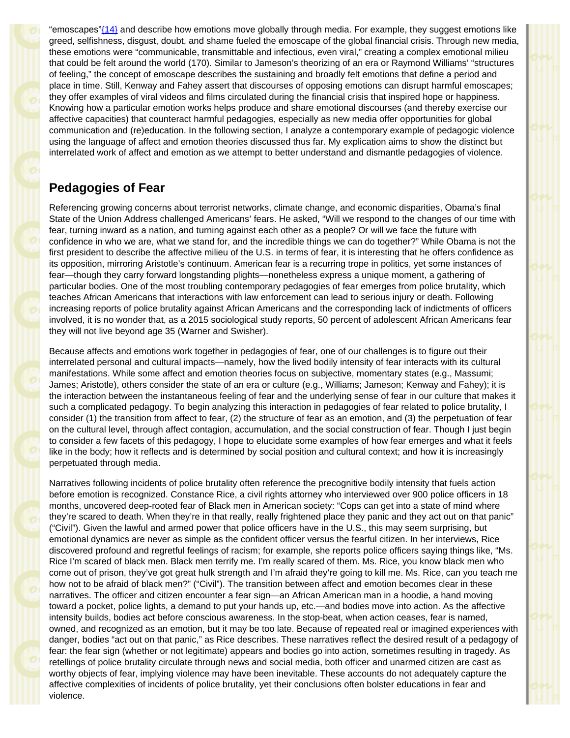<span id="page-5-0"></span>"emoscapes["{14}](#page-10-1) and describe how emotions move globally through media. For example, they suggest emotions like greed, selfishness, disgust, doubt, and shame fueled the emoscape of the global financial crisis. Through new media, these emotions were "communicable, transmittable and infectious, even viral," creating a complex emotional milieu that could be felt around the world (170). Similar to Jameson's theorizing of an era or Raymond Williams' "structures of feeling," the concept of emoscape describes the sustaining and broadly felt emotions that define a period and place in time. Still, Kenway and Fahey assert that discourses of opposing emotions can disrupt harmful emoscapes; they offer examples of viral videos and films circulated during the financial crisis that inspired hope or happiness. Knowing how a particular emotion works helps produce and share emotional discourses (and thereby exercise our affective capacities) that counteract harmful pedagogies, especially as new media offer opportunities for global communication and (re)education. In the following section, I analyze a contemporary example of pedagogic violence using the language of affect and emotion theories discussed thus far. My explication aims to show the distinct but interrelated work of affect and emotion as we attempt to better understand and dismantle pedagogies of violence.

# **Pedagogies of Fear**

Referencing growing concerns about terrorist networks, climate change, and economic disparities, Obama's final State of the Union Address challenged Americans' fears. He asked, "Will we respond to the changes of our time with fear, turning inward as a nation, and turning against each other as a people? Or will we face the future with confidence in who we are, what we stand for, and the incredible things we can do together?" While Obama is not the first president to describe the affective milieu of the U.S. in terms of fear, it is interesting that he offers confidence as its opposition, mirroring Aristotle's continuum. American fear is a recurring trope in politics, yet some instances of fear—though they carry forward longstanding plights—nonetheless express a unique moment, a gathering of particular bodies. One of the most troubling contemporary pedagogies of fear emerges from police brutality, which teaches African Americans that interactions with law enforcement can lead to serious injury or death. Following increasing reports of police brutality against African Americans and the corresponding lack of indictments of officers involved, it is no wonder that, as a 2015 sociological study reports, 50 percent of adolescent African Americans fear they will not live beyond age 35 (Warner and Swisher).

Because affects and emotions work together in pedagogies of fear, one of our challenges is to figure out their interrelated personal and cultural impacts—namely, how the lived bodily intensity of fear interacts with its cultural manifestations. While some affect and emotion theories focus on subjective, momentary states (e.g., Massumi; James; Aristotle), others consider the state of an era or culture (e.g., Williams; Jameson; Kenway and Fahey); it is the interaction between the instantaneous feeling of fear and the underlying sense of fear in our culture that makes it such a complicated pedagogy. To begin analyzing this interaction in pedagogies of fear related to police brutality, I consider (1) the transition from affect to fear, (2) the structure of fear as an emotion, and (3) the perpetuation of fear on the cultural level, through affect contagion, accumulation, and the social construction of fear. Though I just begin to consider a few facets of this pedagogy, I hope to elucidate some examples of how fear emerges and what it feels like in the body; how it reflects and is determined by social position and cultural context; and how it is increasingly perpetuated through media.

Narratives following incidents of police brutality often reference the precognitive bodily intensity that fuels action before emotion is recognized. Constance Rice, a civil rights attorney who interviewed over 900 police officers in 18 months, uncovered deep-rooted fear of Black men in American society: "Cops can get into a state of mind where they're scared to death. When they're in that really, really frightened place they panic and they act out on that panic" ("Civil"). Given the lawful and armed power that police officers have in the U.S., this may seem surprising, but emotional dynamics are never as simple as the confident officer versus the fearful citizen. In her interviews, Rice discovered profound and regretful feelings of racism; for example, she reports police officers saying things like, "Ms. Rice I'm scared of black men. Black men terrify me. I'm really scared of them. Ms. Rice, you know black men who come out of prison, they've got great hulk strength and I'm afraid they're going to kill me. Ms. Rice, can you teach me how not to be afraid of black men?" ("Civil"). The transition between affect and emotion becomes clear in these narratives. The officer and citizen encounter a fear sign—an African American man in a hoodie, a hand moving toward a pocket, police lights, a demand to put your hands up, etc.—and bodies move into action. As the affective intensity builds, bodies act before conscious awareness. In the stop-beat, when action ceases, fear is named, owned, and recognized as an emotion, but it may be too late. Because of repeated real or imagined experiences with danger, bodies "act out on that panic," as Rice describes. These narratives reflect the desired result of a pedagogy of fear: the fear sign (whether or not legitimate) appears and bodies go into action, sometimes resulting in tragedy. As retellings of police brutality circulate through news and social media, both officer and unarmed citizen are cast as worthy objects of fear, implying violence may have been inevitable. These accounts do not adequately capture the affective complexities of incidents of police brutality, yet their conclusions often bolster educations in fear and violence.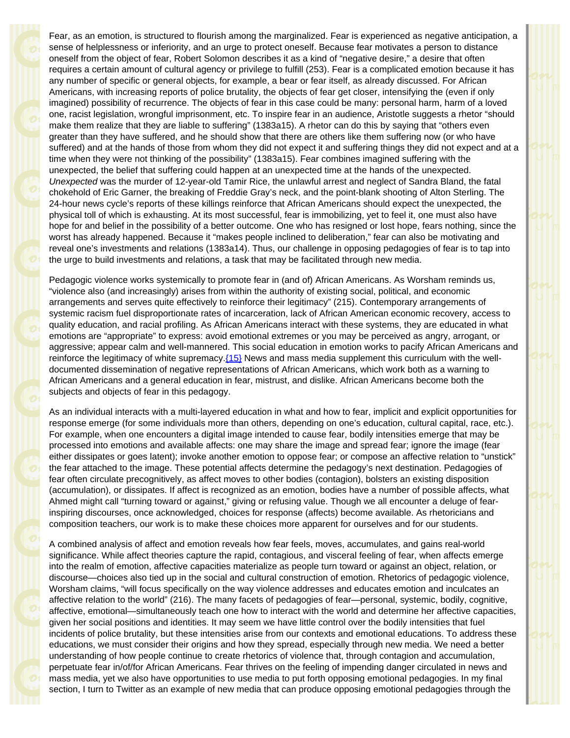Fear, as an emotion, is structured to flourish among the marginalized. Fear is experienced as negative anticipation, a sense of helplessness or inferiority, and an urge to protect oneself. Because fear motivates a person to distance oneself from the object of fear, Robert Solomon describes it as a kind of "negative desire," a desire that often requires a certain amount of cultural agency or privilege to fulfill (253). Fear is a complicated emotion because it has any number of specific or general objects, for example, a bear or fear itself, as already discussed. For African Americans, with increasing reports of police brutality, the objects of fear get closer, intensifying the (even if only imagined) possibility of recurrence. The objects of fear in this case could be many: personal harm, harm of a loved one, racist legislation, wrongful imprisonment, etc. To inspire fear in an audience, Aristotle suggests a rhetor "should make them realize that they are liable to suffering" (1383a15). A rhetor can do this by saying that "others even greater than they have suffered, and he should show that there are others like them suffering now (or who have suffered) and at the hands of those from whom they did not expect it and suffering things they did not expect and at a time when they were not thinking of the possibility" (1383a15). Fear combines imagined suffering with the unexpected, the belief that suffering could happen at an unexpected time at the hands of the unexpected. *Unexpected* was the murder of 12-year-old Tamir Rice, the unlawful arrest and neglect of Sandra Bland, the fatal chokehold of Eric Garner, the breaking of Freddie Gray's neck, and the point-blank shooting of Alton Sterling. The 24-hour news cycle's reports of these killings reinforce that African Americans should expect the unexpected, the physical toll of which is exhausting. At its most successful, fear is immobilizing, yet to feel it, one must also have hope for and belief in the possibility of a better outcome. One who has resigned or lost hope, fears nothing, since the worst has already happened. Because it "makes people inclined to deliberation," fear can also be motivating and reveal one's investments and relations (1383a14). Thus, our challenge in opposing pedagogies of fear is to tap into the urge to build investments and relations, a task that may be facilitated through new media.

Pedagogic violence works systemically to promote fear in (and of) African Americans. As Worsham reminds us, "violence also (and increasingly) arises from within the authority of existing social, political, and economic arrangements and serves quite effectively to reinforce their legitimacy" (215). Contemporary arrangements of systemic racism fuel disproportionate rates of incarceration, lack of African American economic recovery, access to quality education, and racial profiling. As African Americans interact with these systems, they are educated in what emotions are "appropriate" to express: avoid emotional extremes or you may be perceived as angry, arrogant, or aggressive; appear calm and well-mannered. This social education in emotion works to pacify African Americans and reinforce the legitimacy of white supremacy.  $(15)$  News and mass media supplement this curriculum with the welldocumented dissemination of negative representations of African Americans, which work both as a warning to African Americans and a general education in fear, mistrust, and dislike. African Americans become both the subjects and objects of fear in this pedagogy.

<span id="page-6-0"></span>As an individual interacts with a multi-layered education in what and how to fear, implicit and explicit opportunities for response emerge (for some individuals more than others, depending on one's education, cultural capital, race, etc.). For example, when one encounters a digital image intended to cause fear, bodily intensities emerge that may be processed into emotions and available affects: one may share the image and spread fear; ignore the image (fear either dissipates or goes latent); invoke another emotion to oppose fear; or compose an affective relation to "unstick" the fear attached to the image. These potential affects determine the pedagogy's next destination. Pedagogies of fear often circulate precognitively, as affect moves to other bodies (contagion), bolsters an existing disposition (accumulation), or dissipates. If affect is recognized as an emotion, bodies have a number of possible affects, what Ahmed might call "turning toward or against," giving or refusing value. Though we all encounter a deluge of fearinspiring discourses, once acknowledged, choices for response (affects) become available. As rhetoricians and composition teachers, our work is to make these choices more apparent for ourselves and for our students.

A combined analysis of affect and emotion reveals how fear feels, moves, accumulates, and gains real-world significance. While affect theories capture the rapid, contagious, and visceral feeling of fear, when affects emerge into the realm of emotion, affective capacities materialize as people turn toward or against an object, relation, or discourse—choices also tied up in the social and cultural construction of emotion. Rhetorics of pedagogic violence, Worsham claims, "will focus specifically on the way violence addresses and educates emotion and inculcates an affective relation to the world" (216). The many facets of pedagogies of fear—personal, systemic, bodily, cognitive, affective, emotional—simultaneously teach one how to interact with the world and determine her affective capacities, given her social positions and identities. It may seem we have little control over the bodily intensities that fuel incidents of police brutality, but these intensities arise from our contexts and emotional educations. To address these educations, we must consider their origins and how they spread, especially through new media. We need a better understanding of how people continue to create rhetorics of violence that, through contagion and accumulation, perpetuate fear in/of/for African Americans. Fear thrives on the feeling of impending danger circulated in news and mass media, yet we also have opportunities to use media to put forth opposing emotional pedagogies. In my final section, I turn to Twitter as an example of new media that can produce opposing emotional pedagogies through the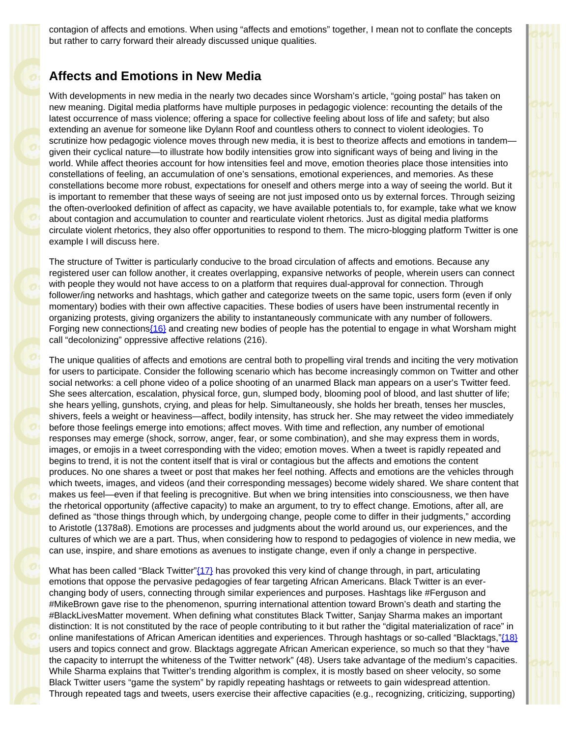contagion of affects and emotions. When using "affects and emotions" together, I mean not to conflate the concepts but rather to carry forward their already discussed unique qualities.

### **Affects and Emotions in New Media**

With developments in new media in the nearly two decades since Worsham's article, "going postal" has taken on new meaning. Digital media platforms have multiple purposes in pedagogic violence: recounting the details of the latest occurrence of mass violence; offering a space for collective feeling about loss of life and safety; but also extending an avenue for someone like Dylann Roof and countless others to connect to violent ideologies. To scrutinize how pedagogic violence moves through new media, it is best to theorize affects and emotions in tandem given their cyclical nature—to illustrate how bodily intensities grow into significant ways of being and living in the world. While affect theories account for how intensities feel and move, emotion theories place those intensities into constellations of feeling, an accumulation of one's sensations, emotional experiences, and memories. As these constellations become more robust, expectations for oneself and others merge into a way of seeing the world. But it is important to remember that these ways of seeing are not just imposed onto us by external forces. Through seizing the often-overlooked definition of affect as capacity, we have available potentials to, for example, take what we know about contagion and accumulation to counter and rearticulate violent rhetorics. Just as digital media platforms circulate violent rhetorics, they also offer opportunities to respond to them. The micro-blogging platform Twitter is one example I will discuss here.

The structure of Twitter is particularly conducive to the broad circulation of affects and emotions. Because any registered user can follow another, it creates overlapping, expansive networks of people, wherein users can connect with people they would not have access to on a platform that requires dual-approval for connection. Through follower/ing networks and hashtags, which gather and categorize tweets on the same topic, users form (even if only momentary) bodies with their own affective capacities. These bodies of users have been instrumental recently in organizing protests, giving organizers the ability to instantaneously communicate with any number of followers. Forging new connections (16) and creating new bodies of people has the potential to engage in what Worsham might call "decolonizing" oppressive affective relations (216).

<span id="page-7-0"></span>The unique qualities of affects and emotions are central both to propelling viral trends and inciting the very motivation for users to participate. Consider the following scenario which has become increasingly common on Twitter and other social networks: a cell phone video of a police shooting of an unarmed Black man appears on a user's Twitter feed. She sees altercation, escalation, physical force, gun, slumped body, blooming pool of blood, and last shutter of life; she hears yelling, gunshots, crying, and pleas for help. Simultaneously, she holds her breath, tenses her muscles, shivers, feels a weight or heaviness—affect, bodily intensity, has struck her. She may retweet the video immediately before those feelings emerge into emotions; affect moves. With time and reflection, any number of emotional responses may emerge (shock, sorrow, anger, fear, or some combination), and she may express them in words, images, or emojis in a tweet corresponding with the video; emotion moves. When a tweet is rapidly repeated and begins to trend, it is not the content itself that is viral or contagious but the affects and emotions the content produces. No one shares a tweet or post that makes her feel nothing. Affects and emotions are the vehicles through which tweets, images, and videos (and their corresponding messages) become widely shared. We share content that makes us feel—even if that feeling is precognitive. But when we bring intensities into consciousness, we then have the rhetorical opportunity (affective capacity) to make an argument, to try to effect change. Emotions, after all, are defined as "those things through which, by undergoing change, people come to differ in their judgments," according to Aristotle (1378a8). Emotions are processes and judgments about the world around us, our experiences, and the cultures of which we are a part. Thus, when considering how to respond to pedagogies of violence in new media, we can use, inspire, and share emotions as avenues to instigate change, even if only a change in perspective.

<span id="page-7-2"></span><span id="page-7-1"></span>What has been called "Black Twitter" $(17)$  has provoked this very kind of change through, in part, articulating emotions that oppose the pervasive pedagogies of fear targeting African Americans. Black Twitter is an everchanging body of users, connecting through similar experiences and purposes. Hashtags like #Ferguson and #MikeBrown gave rise to the phenomenon, spurring international attention toward Brown's death and starting the #BlackLivesMatter movement. When defining what constitutes Black Twitter, Sanjay Sharma makes an important distinction: It is not constituted by the race of people contributing to it but rather the "digital materialization of race" in online manifestations of African American identities and experiences. Through hashtags or so-called "Blacktags,"[{18}](#page-10-5) users and topics connect and grow. Blacktags aggregate African American experience, so much so that they "have the capacity to interrupt the whiteness of the Twitter network" (48). Users take advantage of the medium's capacities. While Sharma explains that Twitter's trending algorithm is complex, it is mostly based on sheer velocity, so some Black Twitter users "game the system" by rapidly repeating hashtags or retweets to gain widespread attention. Through repeated tags and tweets, users exercise their affective capacities (e.g., recognizing, criticizing, supporting)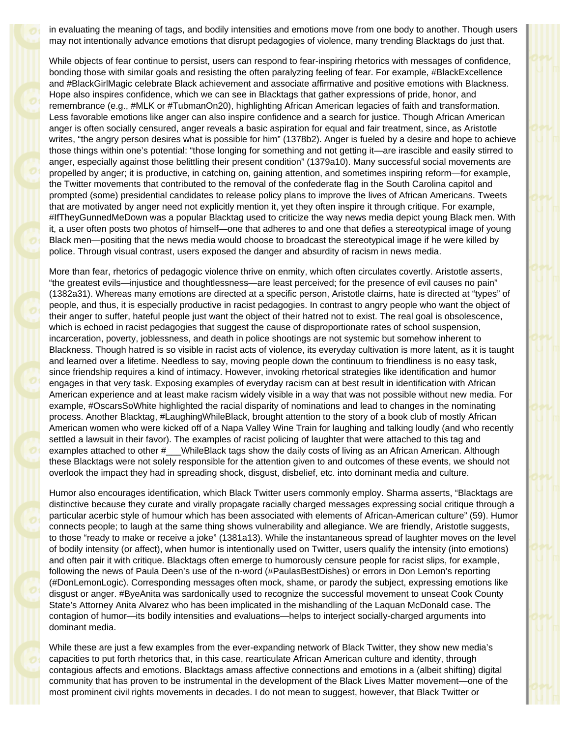in evaluating the meaning of tags, and bodily intensities and emotions move from one body to another. Though users may not intentionally advance emotions that disrupt pedagogies of violence, many trending Blacktags do just that.

While objects of fear continue to persist, users can respond to fear-inspiring rhetorics with messages of confidence, bonding those with similar goals and resisting the often paralyzing feeling of fear. For example, #BlackExcellence and #BlackGirlMagic celebrate Black achievement and associate affirmative and positive emotions with Blackness. Hope also inspires confidence, which we can see in Blacktags that gather expressions of pride, honor, and remembrance (e.g., #MLK or #TubmanOn20), highlighting African American legacies of faith and transformation. Less favorable emotions like anger can also inspire confidence and a search for justice. Though African American anger is often socially censured, anger reveals a basic aspiration for equal and fair treatment, since, as Aristotle writes, "the angry person desires what is possible for him" (1378b2). Anger is fueled by a desire and hope to achieve those things within one's potential: "those longing for something and not getting it—are irascible and easily stirred to anger, especially against those belittling their present condition" (1379a10). Many successful social movements are propelled by anger; it is productive, in catching on, gaining attention, and sometimes inspiring reform—for example, the Twitter movements that contributed to the removal of the confederate flag in the South Carolina capitol and prompted (some) presidential candidates to release policy plans to improve the lives of African Americans. Tweets that are motivated by anger need not explicitly mention it, yet they often inspire it through critique. For example, #IfTheyGunnedMeDown was a popular Blacktag used to criticize the way news media depict young Black men. With it, a user often posts two photos of himself—one that adheres to and one that defies a stereotypical image of young Black men—positing that the news media would choose to broadcast the stereotypical image if he were killed by police. Through visual contrast, users exposed the danger and absurdity of racism in news media.

More than fear, rhetorics of pedagogic violence thrive on enmity, which often circulates covertly. Aristotle asserts, "the greatest evils—injustice and thoughtlessness—are least perceived; for the presence of evil causes no pain" (1382a31). Whereas many emotions are directed at a specific person, Aristotle claims, hate is directed at "types" of people, and thus, it is especially productive in racist pedagogies. In contrast to angry people who want the object of their anger to suffer, hateful people just want the object of their hatred not to exist. The real goal is obsolescence, which is echoed in racist pedagogies that suggest the cause of disproportionate rates of school suspension, incarceration, poverty, joblessness, and death in police shootings are not systemic but somehow inherent to Blackness. Though hatred is so visible in racist acts of violence, its everyday cultivation is more latent, as it is taught and learned over a lifetime. Needless to say, moving people down the continuum to friendliness is no easy task, since friendship requires a kind of intimacy. However, invoking rhetorical strategies like identification and humor engages in that very task. Exposing examples of everyday racism can at best result in identification with African American experience and at least make racism widely visible in a way that was not possible without new media. For example, #OscarsSoWhite highlighted the racial disparity of nominations and lead to changes in the nominating process. Another Blacktag, #LaughingWhileBlack, brought attention to the story of a book club of mostly African American women who were kicked off of a Napa Valley Wine Train for laughing and talking loudly (and who recently settled a lawsuit in their favor). The examples of racist policing of laughter that were attached to this tag and examples attached to other #\_\_\_WhileBlack tags show the daily costs of living as an African American. Although these Blacktags were not solely responsible for the attention given to and outcomes of these events, we should not overlook the impact they had in spreading shock, disgust, disbelief, etc. into dominant media and culture.

Humor also encourages identification, which Black Twitter users commonly employ. Sharma asserts, "Blacktags are distinctive because they curate and virally propagate racially charged messages expressing social critique through a particular acerbic style of humour which has been associated with elements of African-American culture" (59). Humor connects people; to laugh at the same thing shows vulnerability and allegiance. We are friendly, Aristotle suggests, to those "ready to make or receive a joke" (1381a13). While the instantaneous spread of laughter moves on the level of bodily intensity (or affect), when humor is intentionally used on Twitter, users qualify the intensity (into emotions) and often pair it with critique. Blacktags often emerge to humorously censure people for racist slips, for example, following the news of Paula Deen's use of the n-word (#PaulasBestDishes) or errors in Don Lemon's reporting (#DonLemonLogic). Corresponding messages often mock, shame, or parody the subject, expressing emotions like disgust or anger. #ByeAnita was sardonically used to recognize the successful movement to unseat Cook County State's Attorney Anita Alvarez who has been implicated in the mishandling of the Laquan McDonald case. The contagion of humor—its bodily intensities and evaluations—helps to interject socially-charged arguments into dominant media.

While these are just a few examples from the ever-expanding network of Black Twitter, they show new media's capacities to put forth rhetorics that, in this case, rearticulate African American culture and identity, through contagious affects and emotions. Blacktags amass affective connections and emotions in a (albeit shifting) digital community that has proven to be instrumental in the development of the Black Lives Matter movement—one of the most prominent civil rights movements in decades. I do not mean to suggest, however, that Black Twitter or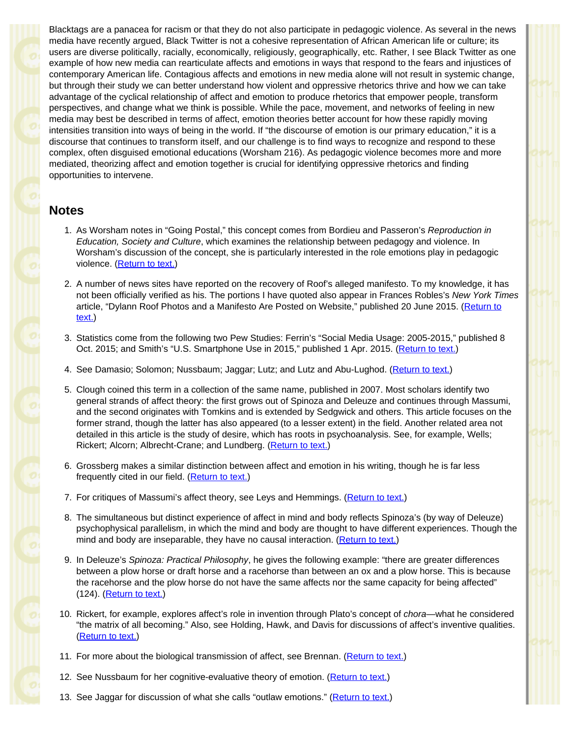Blacktags are a panacea for racism or that they do not also participate in pedagogic violence. As several in the news media have recently argued, Black Twitter is not a cohesive representation of African American life or culture; its users are diverse politically, racially, economically, religiously, geographically, etc. Rather, I see Black Twitter as one example of how new media can rearticulate affects and emotions in ways that respond to the fears and injustices of contemporary American life. Contagious affects and emotions in new media alone will not result in systemic change, but through their study we can better understand how violent and oppressive rhetorics thrive and how we can take advantage of the cyclical relationship of affect and emotion to produce rhetorics that empower people, transform perspectives, and change what we think is possible. While the pace, movement, and networks of feeling in new media may best be described in terms of affect, emotion theories better account for how these rapidly moving intensities transition into ways of being in the world. If "the discourse of emotion is our primary education," it is a discourse that continues to transform itself, and our challenge is to find ways to recognize and respond to these complex, often disguised emotional educations (Worsham 216). As pedagogic violence becomes more and more mediated, theorizing affect and emotion together is crucial for identifying oppressive rhetorics and finding opportunities to intervene.

### **Notes**

- 1. As Worsham notes in "Going Postal," this concept comes from Bordieu and Passeron's *Reproduction in Education, Society and Culture*, which examines the relationship between pedagogy and violence. In Worsham's discussion of the concept, she is particularly interested in the role emotions play in pedagogic violence. [\(Return to text.](#page-0-0))
- 2. A number of news sites have reported on the recovery of Roof's alleged manifesto. To my knowledge, it has not been officially verified as his. The portions I have quoted also appear in Frances Robles's *New York Times* article, "Dylann Roof Photos and a Manifesto Are Posted on Website," published 20 June 2015. [\(Return to](#page-0-1) [text.](#page-0-1))
- 3. Statistics come from the following two Pew Studies: Ferrin's "Social Media Usage: 2005-2015," published 8 Oct. 2015; and Smith's "U.S. Smartphone Use in 2015," published 1 Apr. 2015. [\(Return to text.](#page-0-2))
- 4. See Damasio; Solomon; Nussbaum; Jaggar; Lutz; and Lutz and Abu-Lughod. ([Return to text.](#page-0-3))
- 5. Clough coined this term in a collection of the same name, published in 2007. Most scholars identify two general strands of affect theory: the first grows out of Spinoza and Deleuze and continues through Massumi, and the second originates with Tomkins and is extended by Sedgwick and others. This article focuses on the former strand, though the latter has also appeared (to a lesser extent) in the field. Another related area not detailed in this article is the study of desire, which has roots in psychoanalysis. See, for example, Wells; Rickert; Alcorn; Albrecht-Crane; and Lundberg. ([Return to text.\)](#page-1-0)
- 6. Grossberg makes a similar distinction between affect and emotion in his writing, though he is far less frequently cited in our field. [\(Return to text.](#page-1-1))
- 7. For critiques of Massumi's affect theory, see Leys and Hemmings. [\(Return to text.](#page-1-2))
- 8. The simultaneous but distinct experience of affect in mind and body reflects Spinoza's (by way of Deleuze) psychophysical parallelism, in which the mind and body are thought to have different experiences. Though the mind and body are inseparable, they have no causal interaction. [\(Return to text.](#page-2-0))
- 9. In Deleuze's *Spinoza: Practical Philosophy*, he gives the following example: "there are greater differences between a plow horse or draft horse and a racehorse than between an ox and a plow horse. This is because the racehorse and the plow horse do not have the same affects nor the same capacity for being affected" (124). [\(Return to text.](#page-2-1))
- 10. Rickert, for example, explores affect's role in invention through Plato's concept of *chora*—what he considered "the matrix of all becoming." Also, see Holding, Hawk, and Davis for discussions of affect's inventive qualities. [\(Return to text.](#page-3-0))
- 11. For more about the biological transmission of affect, see Brennan. [\(Return to text.](#page-3-1))
- 12. See Nussbaum for her cognitive-evaluative theory of emotion. [\(Return to text.](#page-4-0))
- 13. See Jaggar for discussion of what she calls "outlaw emotions." [\(Return to text.](#page-4-1))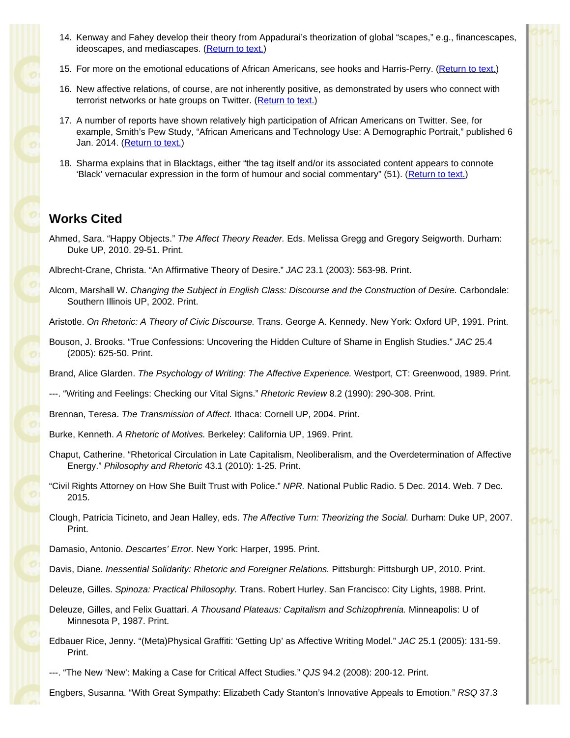- <span id="page-10-1"></span><span id="page-10-0"></span>14. Kenway and Fahey develop their theory from Appadurai's theorization of global "scapes," e.g., financescapes, ideoscapes, and mediascapes. ([Return to text.](#page-5-0))
- <span id="page-10-2"></span>15. For more on the emotional educations of African Americans, see hooks and Harris-Perry. [\(Return to text.](#page-6-0))
- <span id="page-10-3"></span>16. New affective relations, of course, are not inherently positive, as demonstrated by users who connect with terrorist networks or hate groups on Twitter. [\(Return to text.](#page-7-0))
- <span id="page-10-4"></span>17. A number of reports have shown relatively high participation of African Americans on Twitter. See, for example, Smith's Pew Study, "African Americans and Technology Use: A Demographic Portrait," published 6 Jan. 2014. [\(Return to text.](#page-7-1))
- <span id="page-10-5"></span>18. Sharma explains that in Blacktags, either "the tag itself and/or its associated content appears to connote 'Black' vernacular expression in the form of humour and social commentary" (51). [\(Return to text.](#page-7-2))

# **Works Cited**

Ahmed, Sara. "Happy Objects." *The Affect Theory Reader.* Eds. Melissa Gregg and Gregory Seigworth. Durham: Duke UP, 2010. 29-51. Print.

Albrecht-Crane, Christa. "An Affirmative Theory of Desire." *JAC* 23.1 (2003): 563-98. Print.

Alcorn, Marshall W. *Changing the Subject in English Class: Discourse and the Construction of Desire.* Carbondale: Southern Illinois UP, 2002. Print.

Aristotle. *On Rhetoric: A Theory of Civic Discourse.* Trans. George A. Kennedy. New York: Oxford UP, 1991. Print.

Bouson, J. Brooks. "True Confessions: Uncovering the Hidden Culture of Shame in English Studies." *JAC* 25.4 (2005): 625-50. Print.

Brand, Alice Glarden. *The Psychology of Writing: The Affective Experience.* Westport, CT: Greenwood, 1989. Print.

---. "Writing and Feelings: Checking our Vital Signs." *Rhetoric Review* 8.2 (1990): 290-308. Print.

Brennan, Teresa. *The Transmission of Affect.* Ithaca: Cornell UP, 2004. Print.

Burke, Kenneth. *A Rhetoric of Motives.* Berkeley: California UP, 1969. Print.

- Chaput, Catherine. "Rhetorical Circulation in Late Capitalism, Neoliberalism, and the Overdetermination of Affective Energy." *Philosophy and Rhetoric* 43.1 (2010): 1-25. Print.
- "Civil Rights Attorney on How She Built Trust with Police." *NPR.* National Public Radio. 5 Dec. 2014. Web. 7 Dec. 2015.
- Clough, Patricia Ticineto, and Jean Halley, eds. *The Affective Turn: Theorizing the Social.* Durham: Duke UP, 2007. Print.

Damasio, Antonio. *Descartes' Error.* New York: Harper, 1995. Print.

Davis, Diane. *Inessential Solidarity: Rhetoric and Foreigner Relations.* Pittsburgh: Pittsburgh UP, 2010. Print.

Deleuze, Gilles. *Spinoza: Practical Philosophy.* Trans. Robert Hurley. San Francisco: City Lights, 1988. Print.

Deleuze, Gilles, and Felix Guattari. *A Thousand Plateaus: Capitalism and Schizophrenia.* Minneapolis: U of Minnesota P, 1987. Print.

- Edbauer Rice, Jenny. "(Meta)Physical Graffiti: 'Getting Up' as Affective Writing Model." *JAC* 25.1 (2005): 131-59. Print.
- ---. "The New 'New': Making a Case for Critical Affect Studies." *QJS* 94.2 (2008): 200-12. Print.

Engbers, Susanna. "With Great Sympathy: Elizabeth Cady Stanton's Innovative Appeals to Emotion." *RSQ* 37.3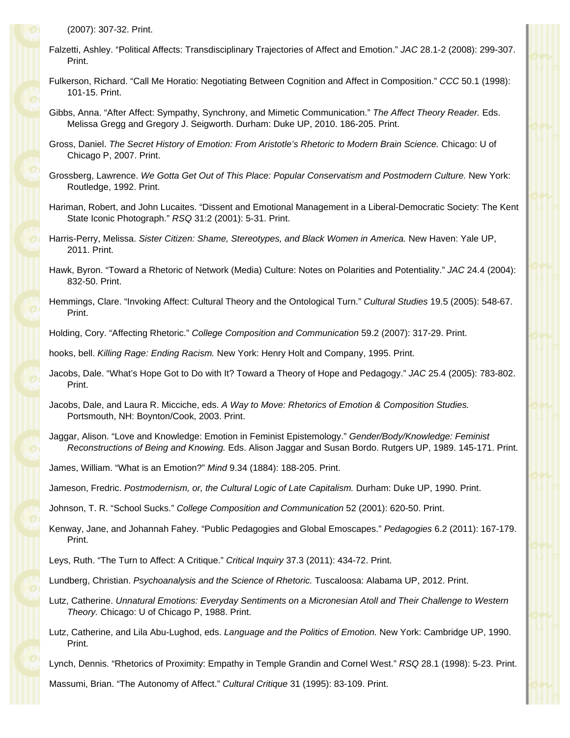- Falzetti, Ashley. "Political Affects: Transdisciplinary Trajectories of Affect and Emotion." *JAC* 28.1-2 (2008): 299-307. Print.
- Fulkerson, Richard. "Call Me Horatio: Negotiating Between Cognition and Affect in Composition." *CCC* 50.1 (1998): 101-15. Print.
- Gibbs, Anna. "After Affect: Sympathy, Synchrony, and Mimetic Communication." *The Affect Theory Reader.* Eds. Melissa Gregg and Gregory J. Seigworth. Durham: Duke UP, 2010. 186-205. Print.
- Gross, Daniel. *The Secret History of Emotion: From Aristotle's Rhetoric to Modern Brain Science.* Chicago: U of Chicago P, 2007. Print.
- Grossberg, Lawrence. *We Gotta Get Out of This Place: Popular Conservatism and Postmodern Culture.* New York: Routledge, 1992. Print.
- Hariman, Robert, and John Lucaites. "Dissent and Emotional Management in a Liberal-Democratic Society: The Kent State Iconic Photograph." *RSQ* 31:2 (2001): 5-31. Print.
- Harris-Perry, Melissa. *Sister Citizen: Shame, Stereotypes, and Black Women in America.* New Haven: Yale UP, 2011. Print.
- Hawk, Byron. "Toward a Rhetoric of Network (Media) Culture: Notes on Polarities and Potentiality." *JAC* 24.4 (2004): 832-50. Print.
- Hemmings, Clare. "Invoking Affect: Cultural Theory and the Ontological Turn." *Cultural Studies* 19.5 (2005): 548-67. Print.
- Holding, Cory. "Affecting Rhetoric." *College Composition and Communication* 59.2 (2007): 317-29. Print.

hooks, bell. *Killing Rage: Ending Racism.* New York: Henry Holt and Company, 1995. Print.

- Jacobs, Dale. "What's Hope Got to Do with It? Toward a Theory of Hope and Pedagogy." *JAC* 25.4 (2005): 783-802. Print.
- Jacobs, Dale, and Laura R. Micciche, eds. *A Way to Move: Rhetorics of Emotion & Composition Studies.* Portsmouth, NH: Boynton/Cook, 2003. Print.
- Jaggar, Alison. "Love and Knowledge: Emotion in Feminist Epistemology." *Gender/Body/Knowledge: Feminist Reconstructions of Being and Knowing.* Eds. Alison Jaggar and Susan Bordo. Rutgers UP, 1989. 145-171. Print.
- James, William. "What is an Emotion?" *Mind* 9.34 (1884): 188-205. Print.

Jameson, Fredric. *Postmodernism, or, the Cultural Logic of Late Capitalism.* Durham: Duke UP, 1990. Print.

Johnson, T. R. "School Sucks." *College Composition and Communication* 52 (2001): 620-50. Print.

Kenway, Jane, and Johannah Fahey. "Public Pedagogies and Global Emoscapes." *Pedagogies* 6.2 (2011): 167-179. Print.

Leys, Ruth. "The Turn to Affect: A Critique." *Critical Inquiry* 37.3 (2011): 434-72. Print.

Lundberg, Christian. *Psychoanalysis and the Science of Rhetoric.* Tuscaloosa: Alabama UP, 2012. Print.

- Lutz, Catherine. *Unnatural Emotions: Everyday Sentiments on a Micronesian Atoll and Their Challenge to Western Theory.* Chicago: U of Chicago P, 1988. Print.
- Lutz, Catherine, and Lila Abu-Lughod, eds. *Language and the Politics of Emotion.* New York: Cambridge UP, 1990. Print.
- Lynch, Dennis. "Rhetorics of Proximity: Empathy in Temple Grandin and Cornel West." *RSQ* 28.1 (1998): 5-23. Print.

Massumi, Brian. "The Autonomy of Affect." *Cultural Critique* 31 (1995): 83-109. Print.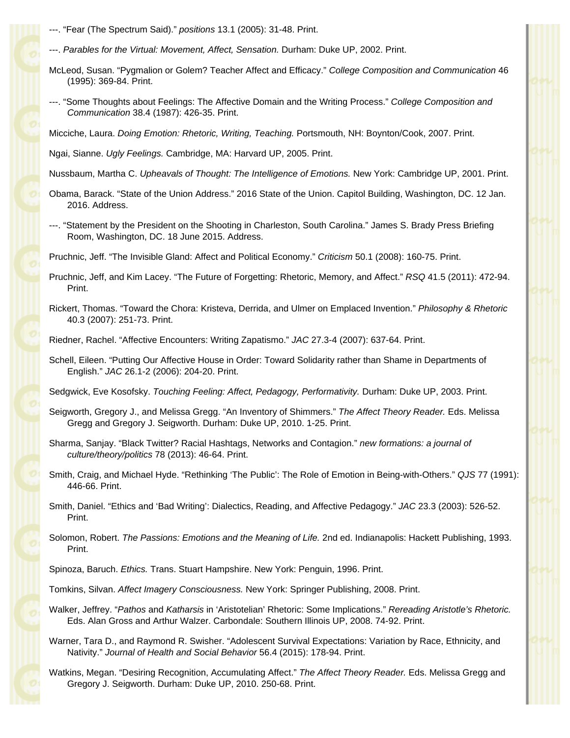- ---. "Fear (The Spectrum Said)." *positions* 13.1 (2005): 31-48. Print.
- ---. *Parables for the Virtual: Movement, Affect, Sensation.* Durham: Duke UP, 2002. Print.
- McLeod, Susan. "Pygmalion or Golem? Teacher Affect and Efficacy." *College Composition and Communication* 46 (1995): 369-84. Print.
- ---. "Some Thoughts about Feelings: The Affective Domain and the Writing Process." *College Composition and Communication* 38.4 (1987): 426-35. Print.

Micciche, Laura. *Doing Emotion: Rhetoric, Writing, Teaching.* Portsmouth, NH: Boynton/Cook, 2007. Print.

Ngai, Sianne. *Ugly Feelings.* Cambridge, MA: Harvard UP, 2005. Print.

Nussbaum, Martha C. *Upheavals of Thought: The Intelligence of Emotions.* New York: Cambridge UP, 2001. Print.

- Obama, Barack. "State of the Union Address." 2016 State of the Union. Capitol Building, Washington, DC. 12 Jan. 2016. Address.
- ---. "Statement by the President on the Shooting in Charleston, South Carolina." James S. Brady Press Briefing Room, Washington, DC. 18 June 2015. Address.

Pruchnic, Jeff. "The Invisible Gland: Affect and Political Economy." *Criticism* 50.1 (2008): 160-75. Print.

- Pruchnic, Jeff, and Kim Lacey. "The Future of Forgetting: Rhetoric, Memory, and Affect." *RSQ* 41.5 (2011): 472-94. Print.
- Rickert, Thomas. "Toward the Chora: Kristeva, Derrida, and Ulmer on Emplaced Invention." *Philosophy & Rhetoric* 40.3 (2007): 251-73. Print.

Riedner, Rachel. "Affective Encounters: Writing Zapatismo." *JAC* 27.3-4 (2007): 637-64. Print.

Schell, Eileen. "Putting Our Affective House in Order: Toward Solidarity rather than Shame in Departments of English." *JAC* 26.1-2 (2006): 204-20. Print.

Sedgwick, Eve Kosofsky. *Touching Feeling: Affect, Pedagogy, Performativity.* Durham: Duke UP, 2003. Print.

- Seigworth, Gregory J., and Melissa Gregg. "An Inventory of Shimmers." *The Affect Theory Reader.* Eds. Melissa Gregg and Gregory J. Seigworth. Durham: Duke UP, 2010. 1-25. Print.
- Sharma, Sanjay. "Black Twitter? Racial Hashtags, Networks and Contagion." *new formations: a journal of culture/theory/politics* 78 (2013): 46-64. Print.
- Smith, Craig, and Michael Hyde. "Rethinking 'The Public': The Role of Emotion in Being-with-Others." *QJS* 77 (1991): 446-66. Print.
- Smith, Daniel. "Ethics and 'Bad Writing': Dialectics, Reading, and Affective Pedagogy." *JAC* 23.3 (2003): 526-52. Print.
- Solomon, Robert. *The Passions: Emotions and the Meaning of Life.* 2nd ed. Indianapolis: Hackett Publishing, 1993. Print.

Spinoza, Baruch. *Ethics.* Trans. Stuart Hampshire. New York: Penguin, 1996. Print.

Tomkins, Silvan. *Affect Imagery Consciousness.* New York: Springer Publishing, 2008. Print.

Walker, Jeffrey. "*Pathos* and *Katharsis* in 'Aristotelian' Rhetoric: Some Implications." *Rereading Aristotle's Rhetoric.* Eds. Alan Gross and Arthur Walzer. Carbondale: Southern Illinois UP, 2008. 74-92. Print.

Warner, Tara D., and Raymond R. Swisher. "Adolescent Survival Expectations: Variation by Race, Ethnicity, and Nativity." *Journal of Health and Social Behavior* 56.4 (2015): 178-94. Print.

Watkins, Megan. "Desiring Recognition, Accumulating Affect." *The Affect Theory Reader.* Eds. Melissa Gregg and Gregory J. Seigworth. Durham: Duke UP, 2010. 250-68. Print.